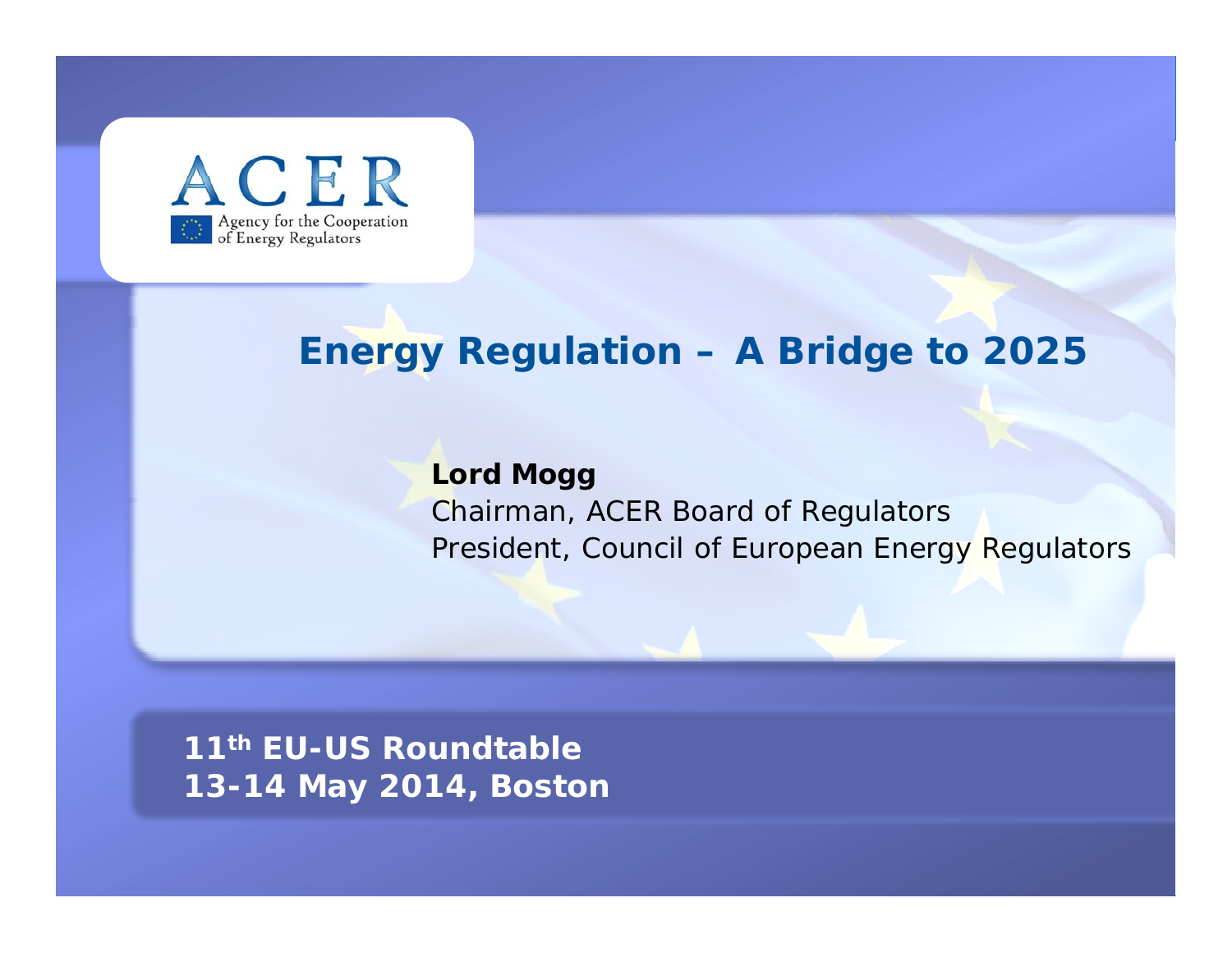

#### **Energy Regulation – A Bridge to 2025**

*Lord Mogg* Chairman, ACER Board of Regulators President, Council of European Energy Regulators

**TITRE 13 14 M 2014 B t -14 May 2014, Bos ton11th EU-US Roundtable**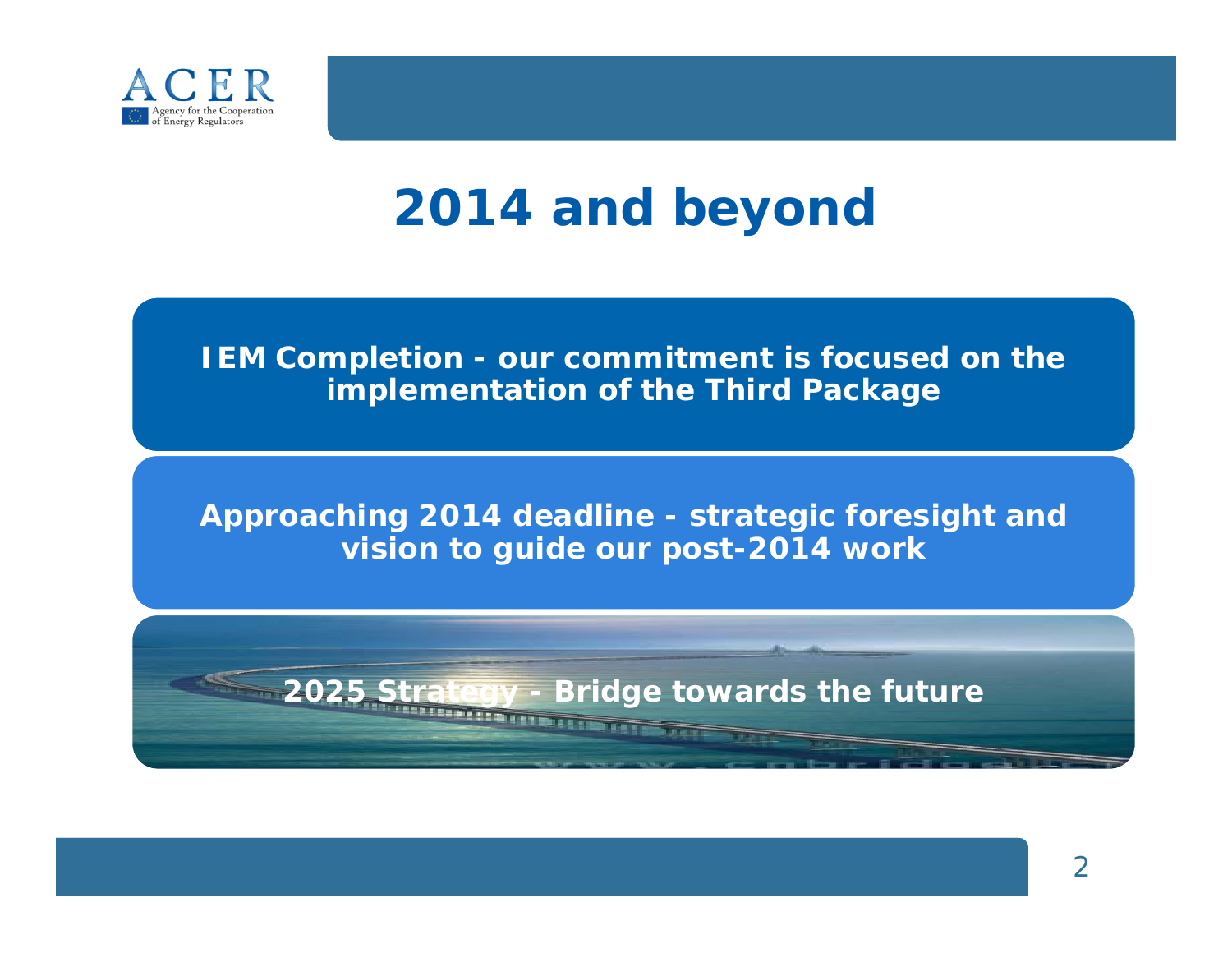

#### **2014 and beyond**

#### **IEM Completion - our commitment is focused on the implementation of the Third Package**

**Approaching 2014 deadline - strategic foresight and vision to guide our post-2014 work**

**2025 Strategy - Bridge towards the future**

言語書類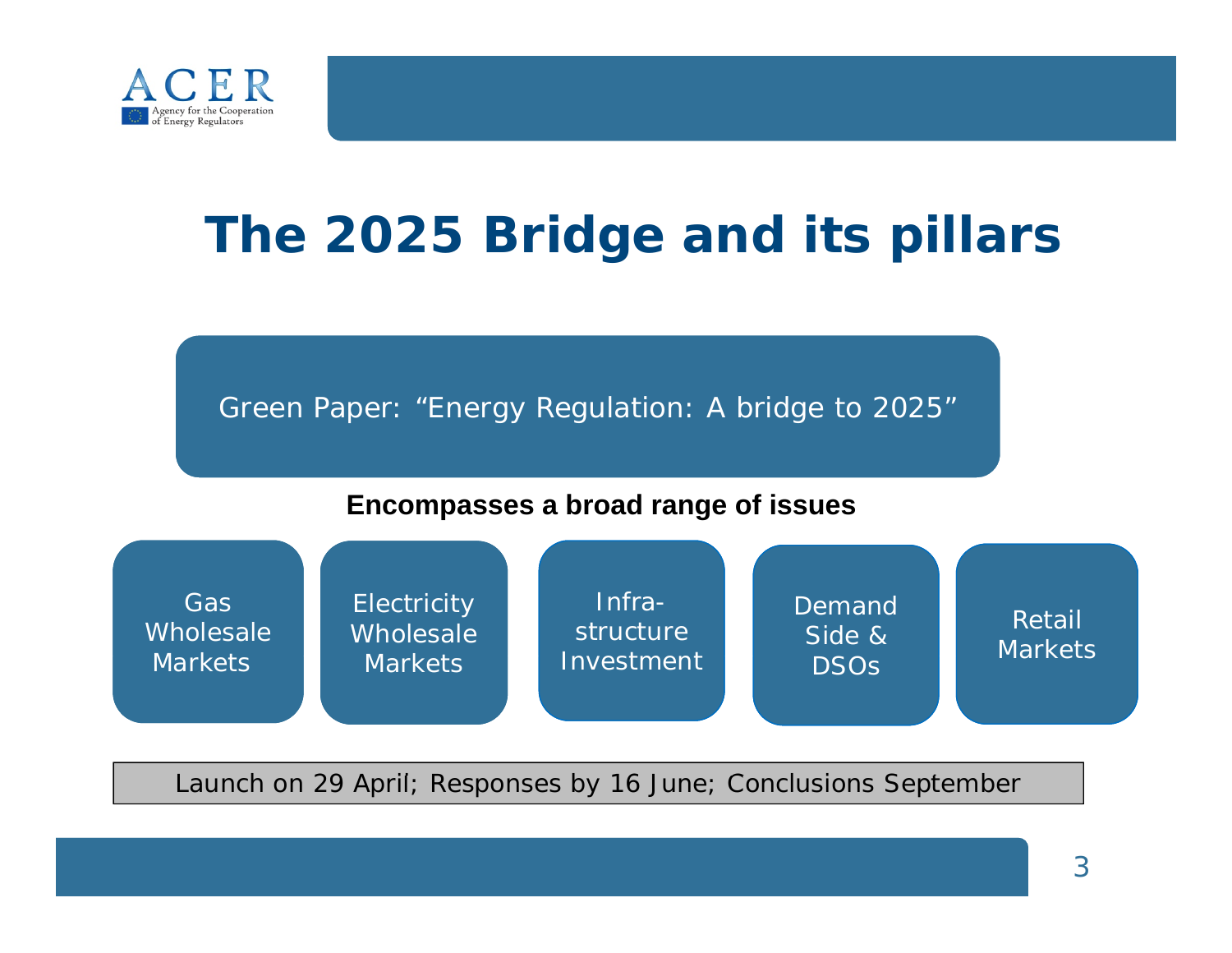

## The 2025 Bridge and its pillars

Green Paper: "Energy Regulation: A bridge to 2025"

#### **Encompasses a broad range of issues**



Launch on 29 April; Responses by 16 June; Conclusions September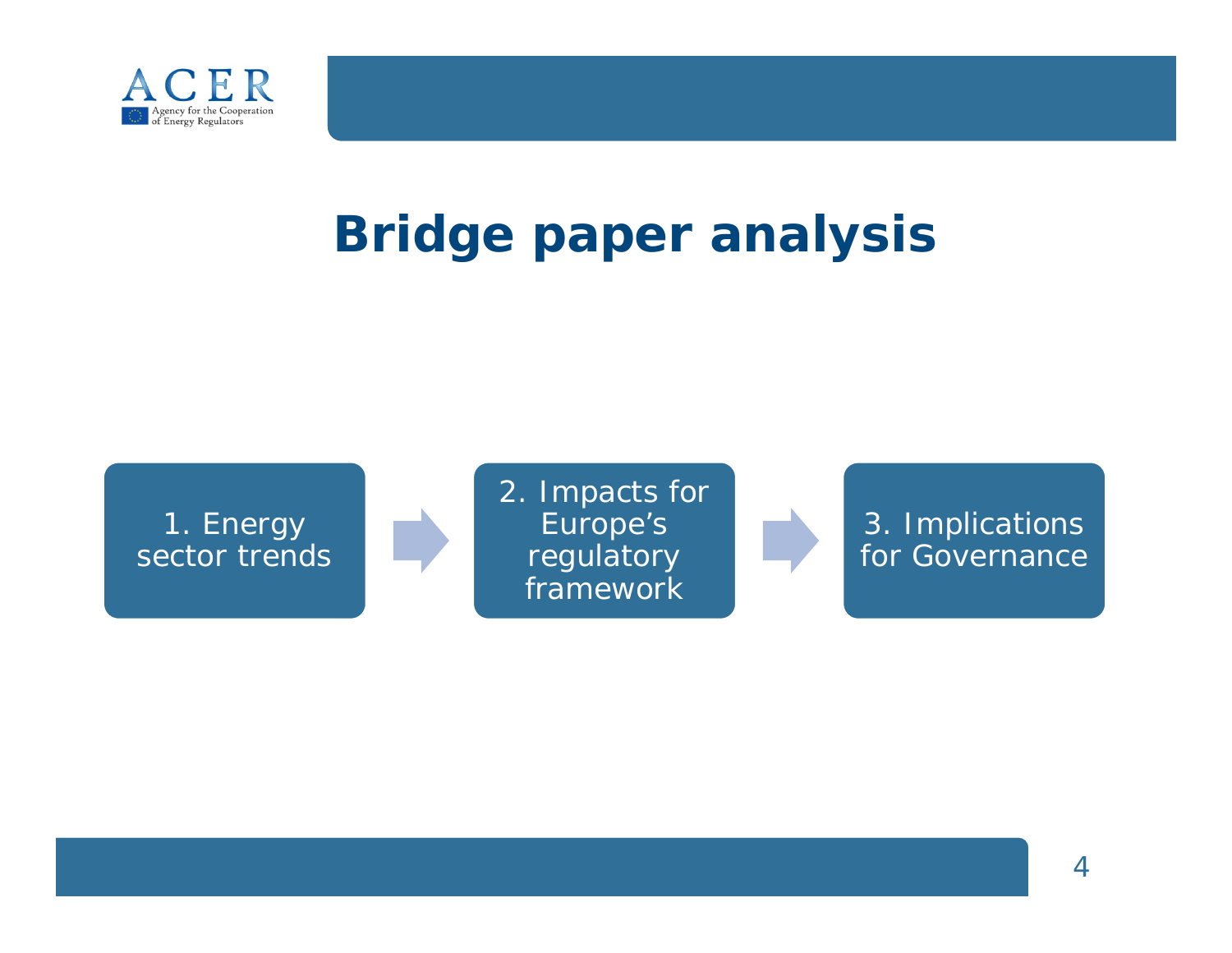

### **Bridge paper analysis**

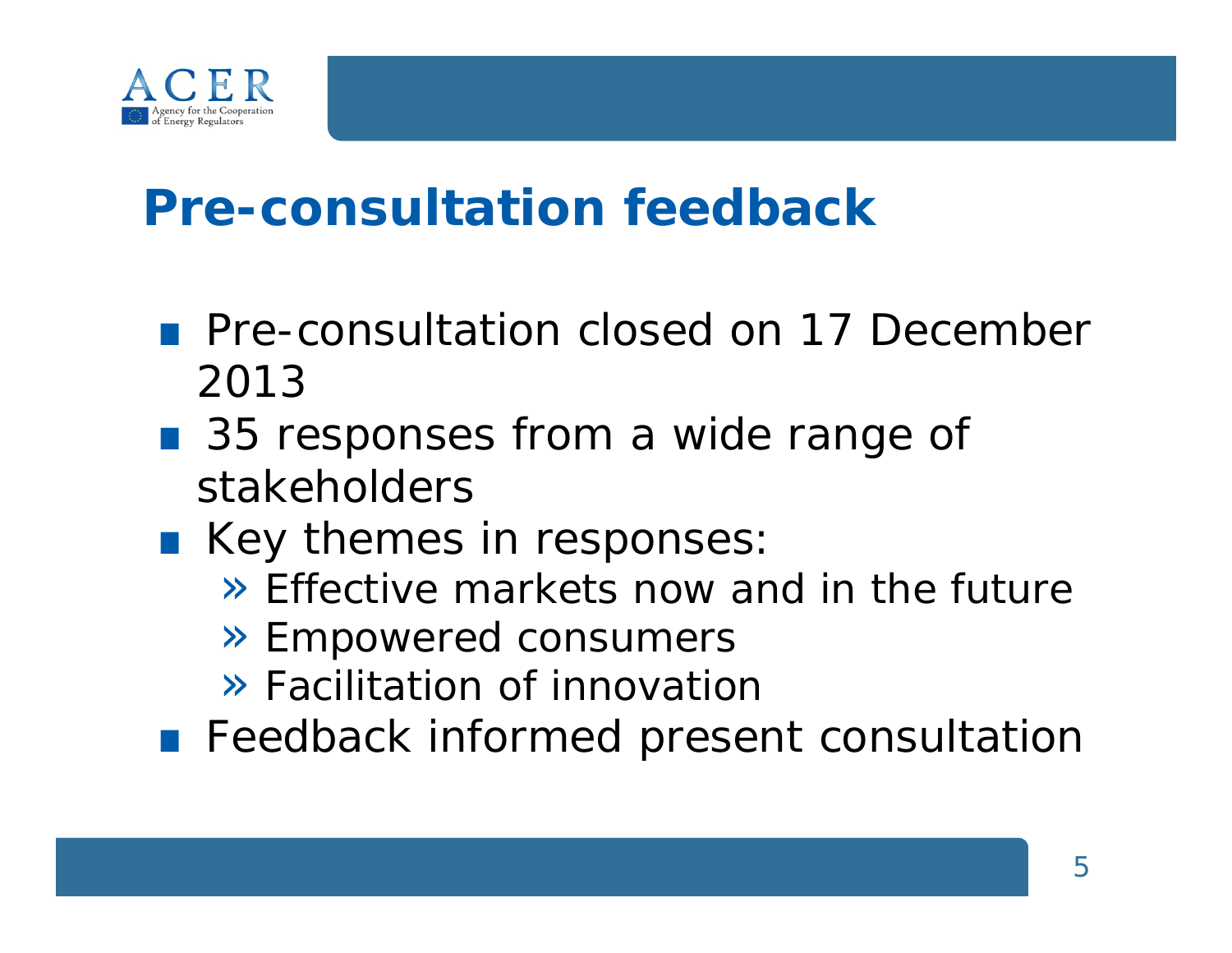

#### **Pre-consultation feedback**

- **.** Pre-consultation closed on 17 December 2013
- 35 responses from a wide range of stakeholders
- Key themes in responses:
	- » Effective markets now and in the future
	- » Em powered consumers
	- » Facilitation of innovation
- .Feedback informed present consultation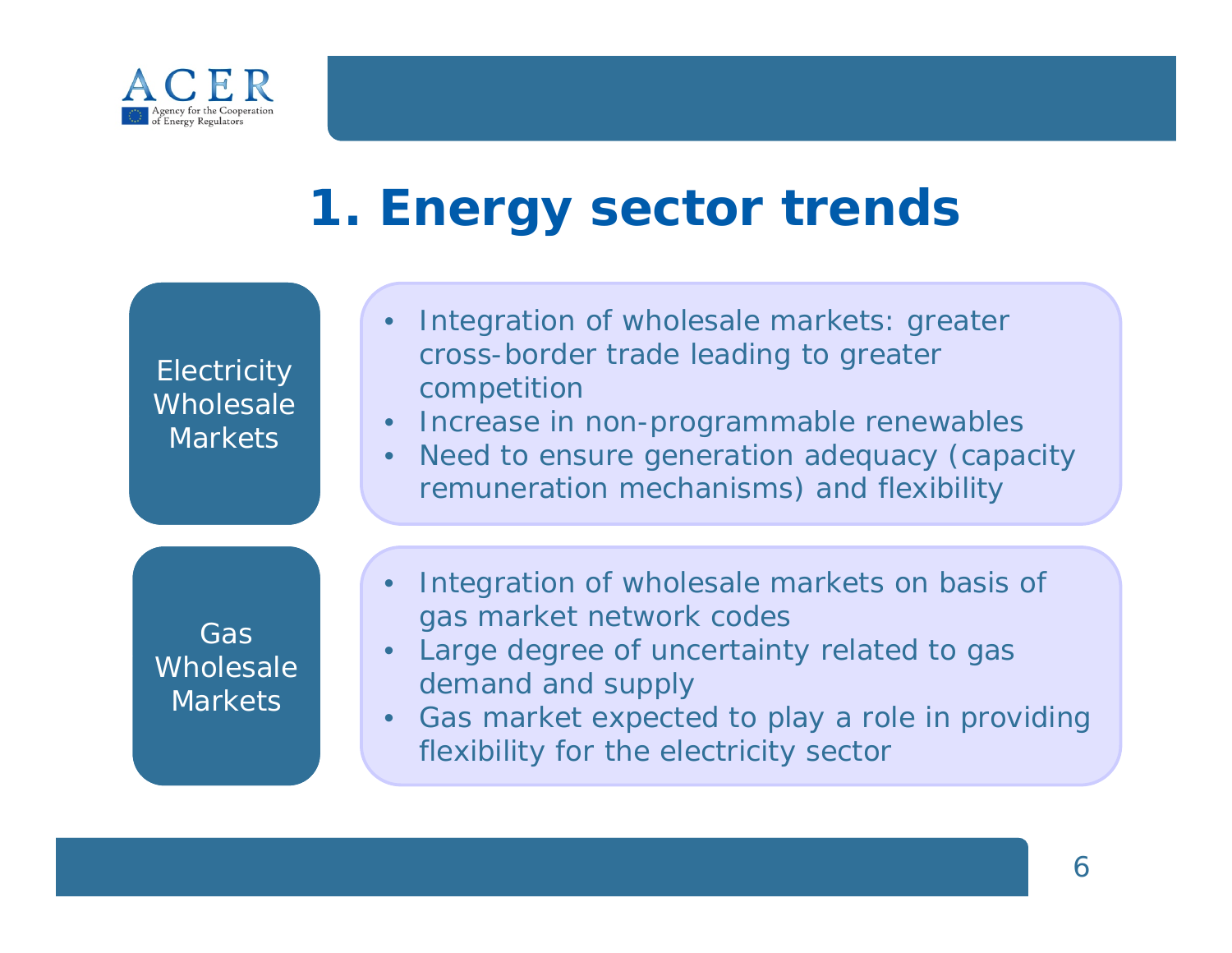

#### **1. Energy sector trends**



6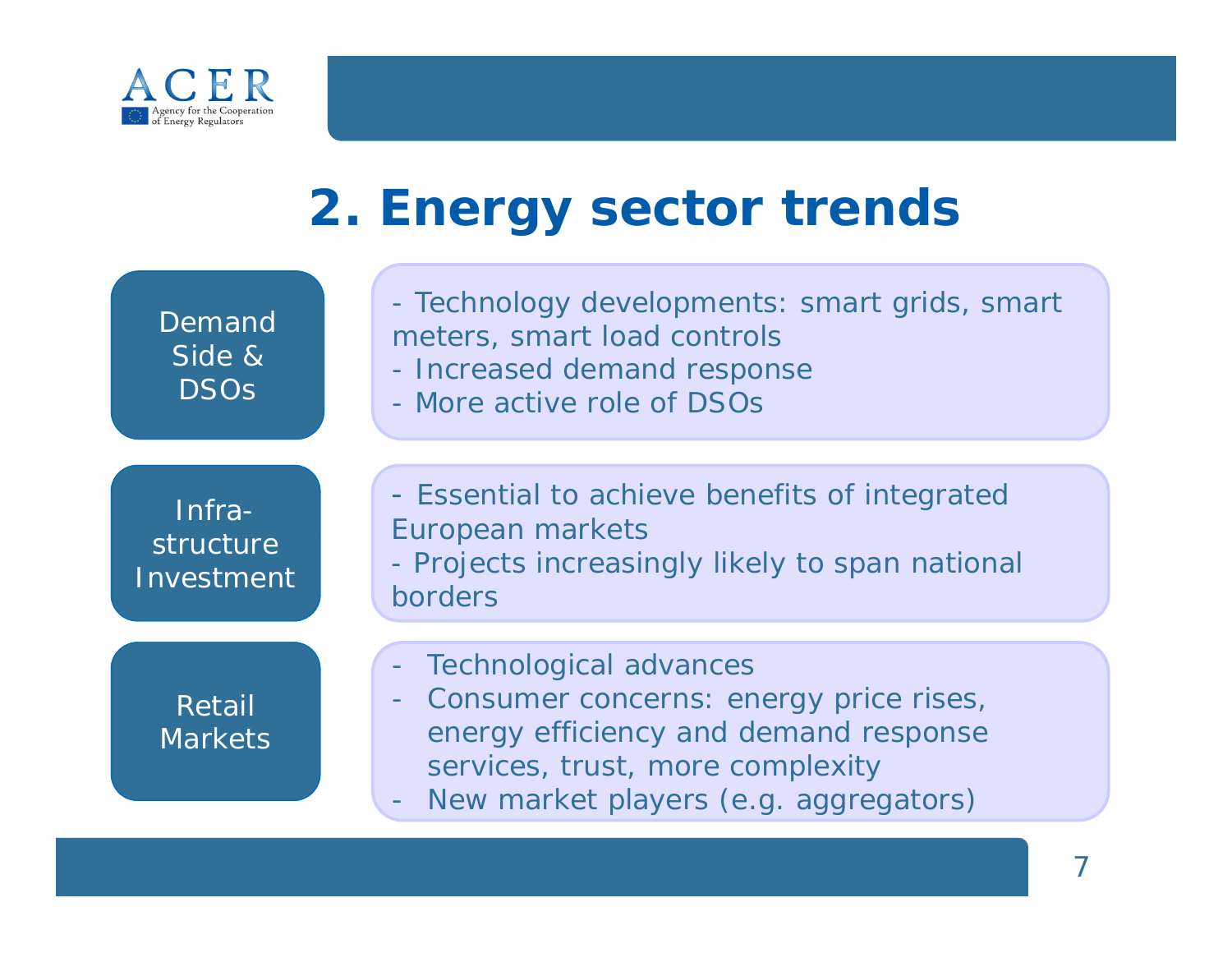

#### **2. Energy sector trends**

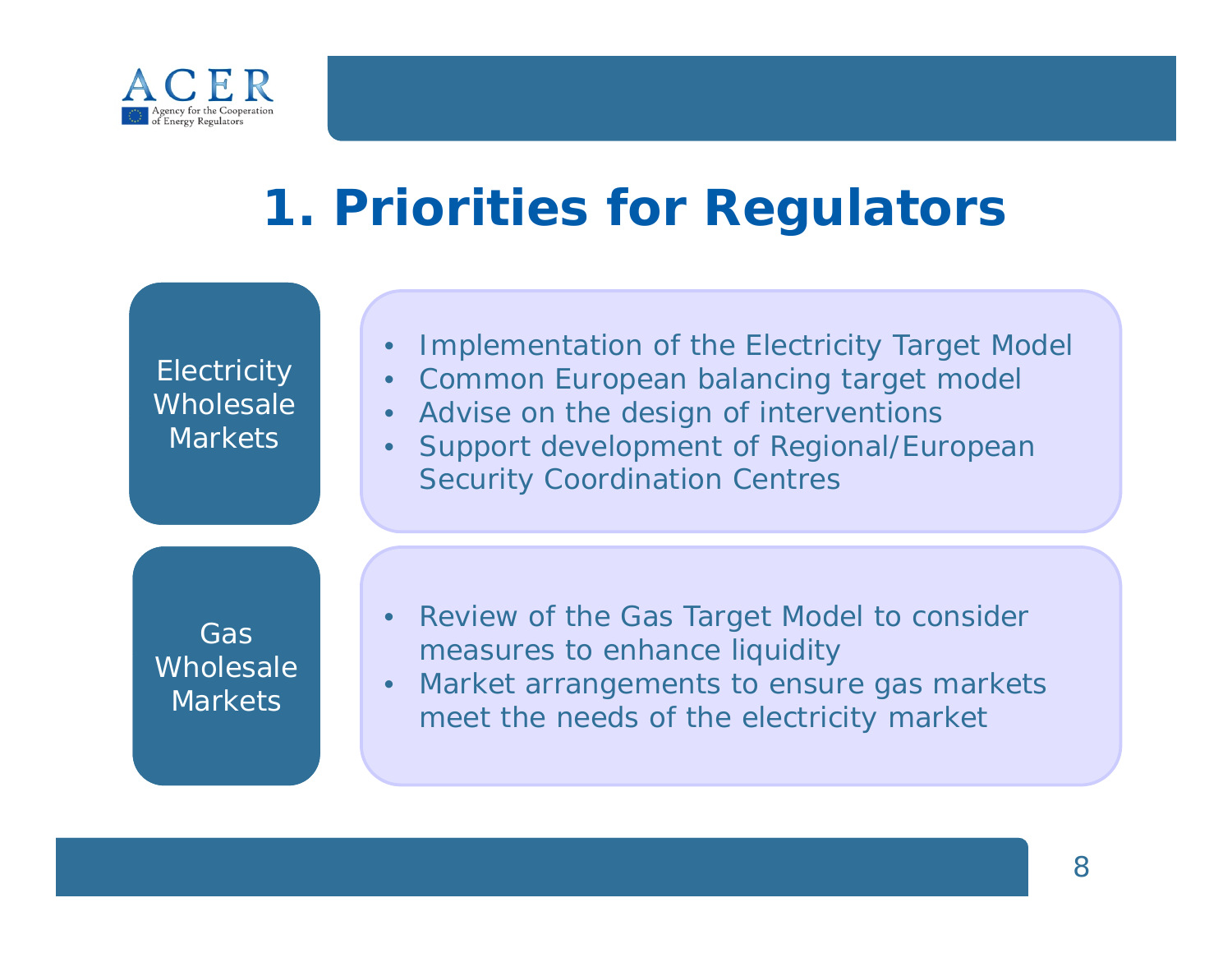

#### **1. Priorities for Regulators**

**Electricity Wholesale** 

- •Implementation of the Electricity Target Model
- •Common European balancing target model
- •Vholesale **Conserventions**<br>Markets **Currician** Support dovelopment of Pegional/Eur
	- • Support development of Regional/European Security Coordination Centres

GasWholesale **Markets** 

- • Review of the Gas Target Model to consider measures to enhance liquidity
- • Market arrangements to ensure gas markets meet the needs of the electricity market

8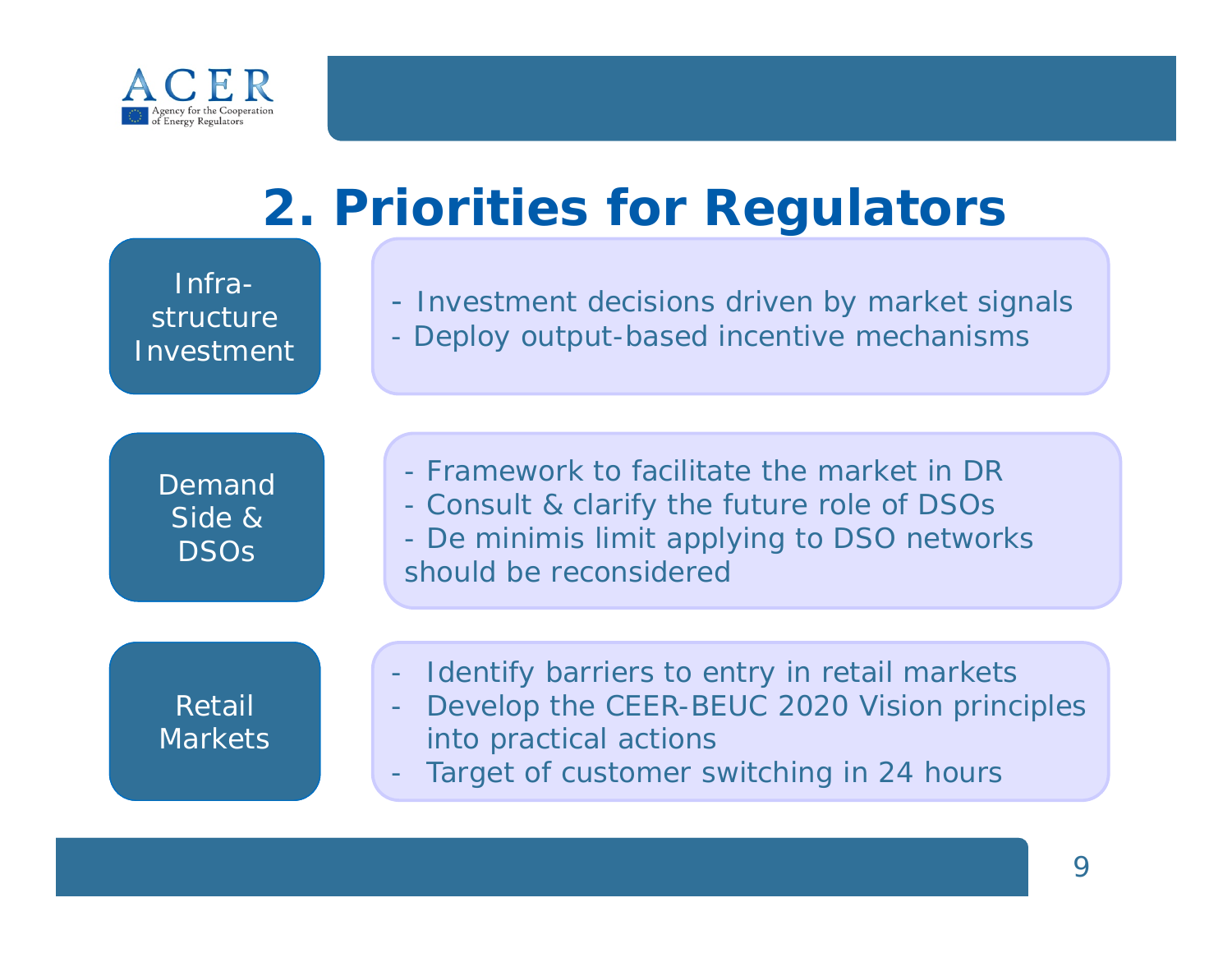

### **2. Priorities for Regulators**

Infra-Investment

> Demand Side &

I the latest investment decisions driven by market signal structure late and a line investment decisions driven by market signals - Deploy output-based incentive mechanisms

- Framework to facilitate the market in DR
- Consult & clarify the future role of DSOs
- DSOs **DE 1999** De minimis limit applying to DSO networks DSOs and the should be reconsidered

Retail**Markets** 

- -Identify barriers to entry in retail markets
- - Develop the CEER-BEUC 2020 Vision principles into practical actions Target of customer switching in 24 hours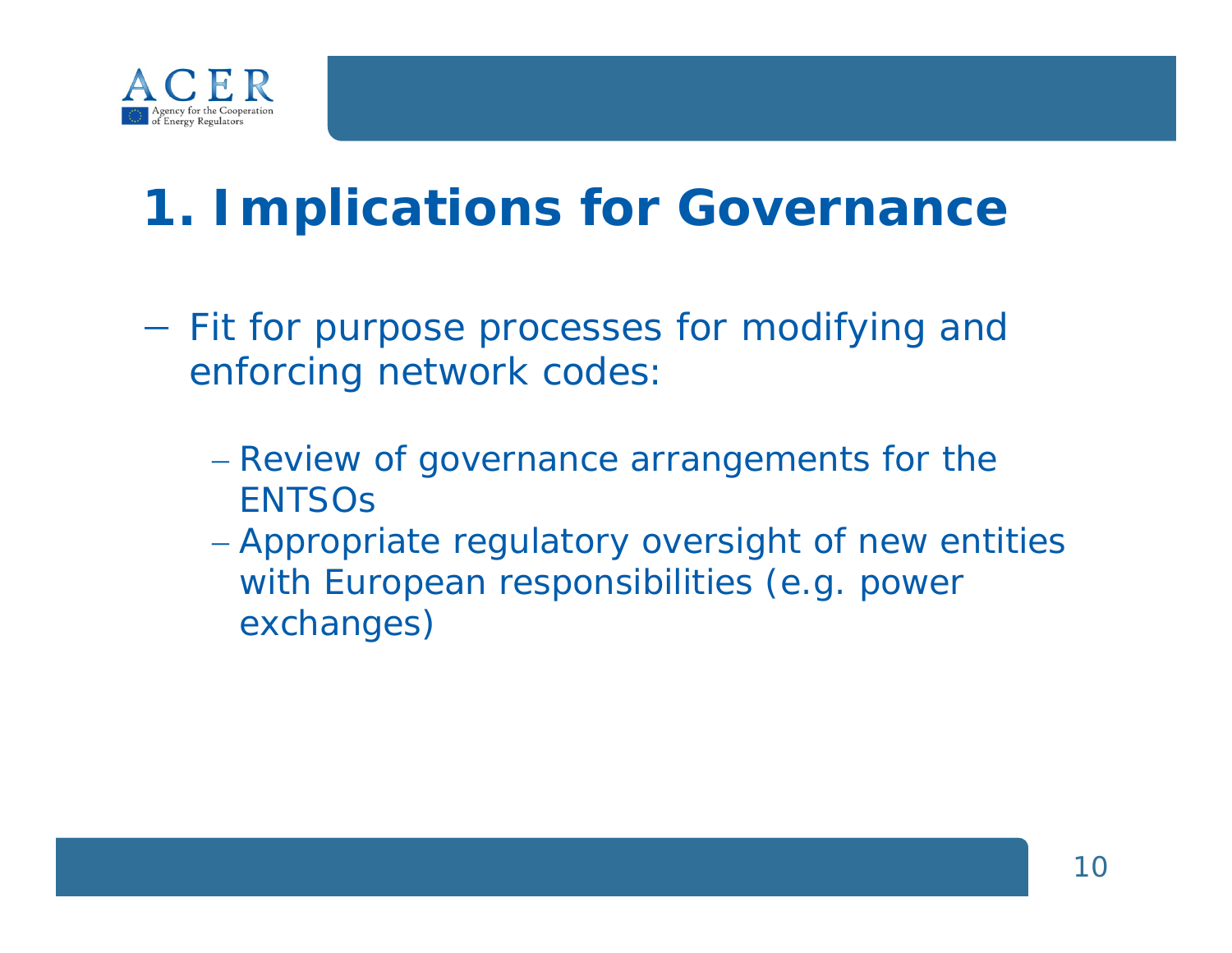

#### **1. Implications for Governance**

- Fit for purpose processes for modifying and enforcing network codes:
	- \_\_\_\_\_\_ - Review of governance arrangements for the ENTSOs
	- Appropriate regulatory oversight of new entities with European responsibilities (e.g. power exchanges)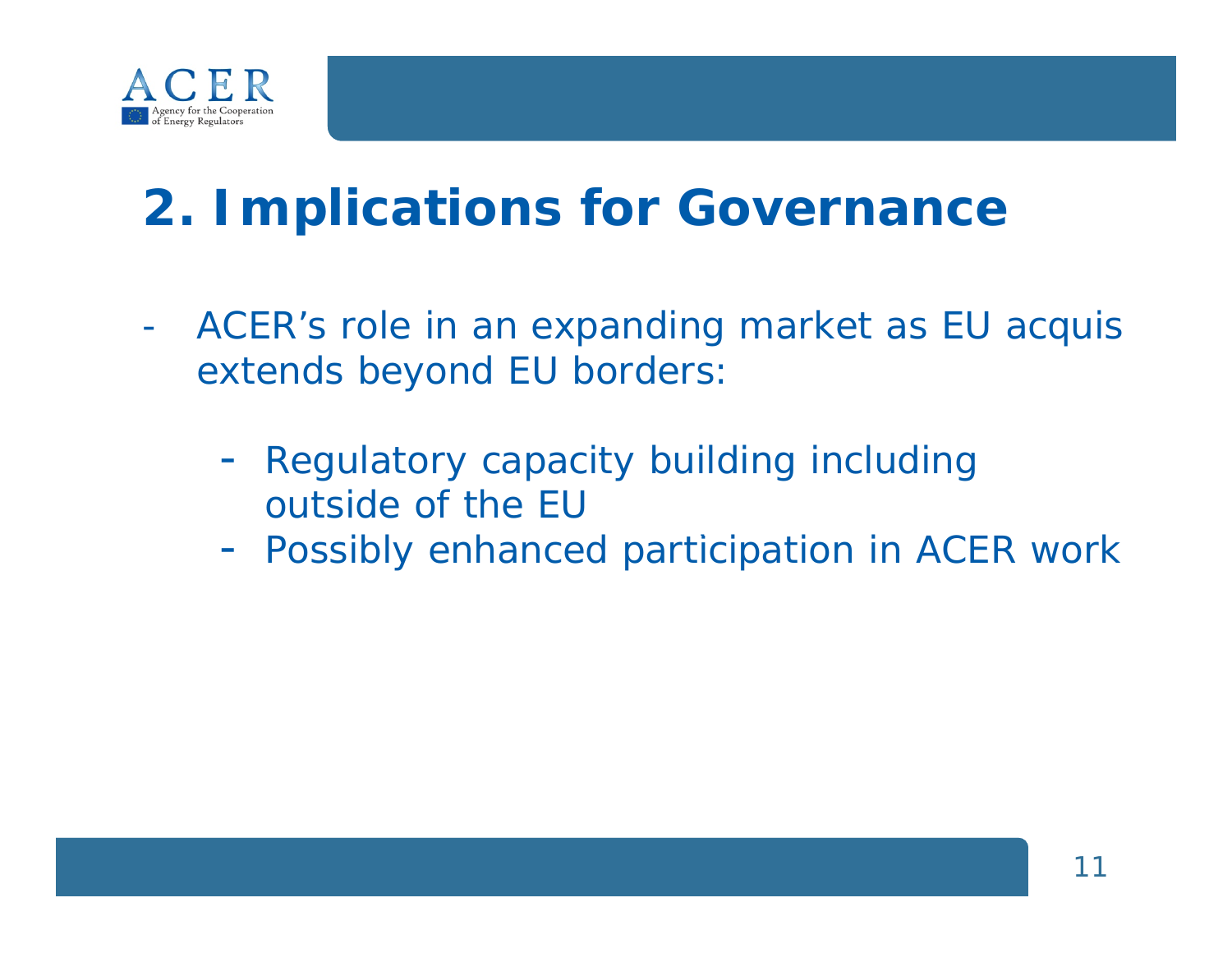

#### 2. Implications for Governance

- ACER's role in an expanding market as EU acquis  $\frac{1}{2}$ extends beyond EU borders:
	- Regulatory capacity building including outside of the EU
	- Possibly enhanced participation in ACER work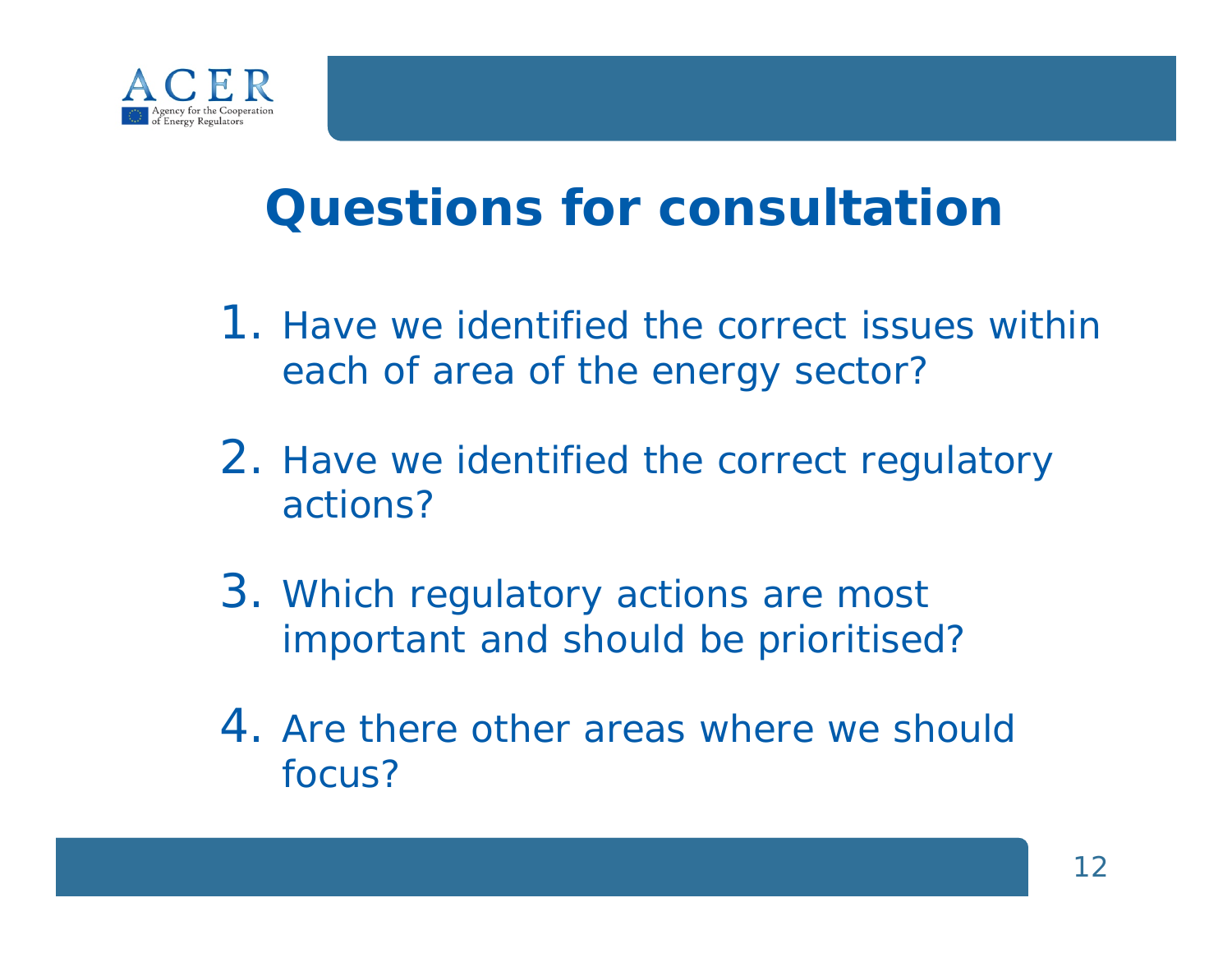

#### **Questions for consultation**

- 1. Have we identified the correct issues within each of area of the energy sector?
- 2. Have we identified the correct regulatory actions?
- 3. Which regulatory actions are most important and should be prioritised?
- 4. Are there other areas where we should focus?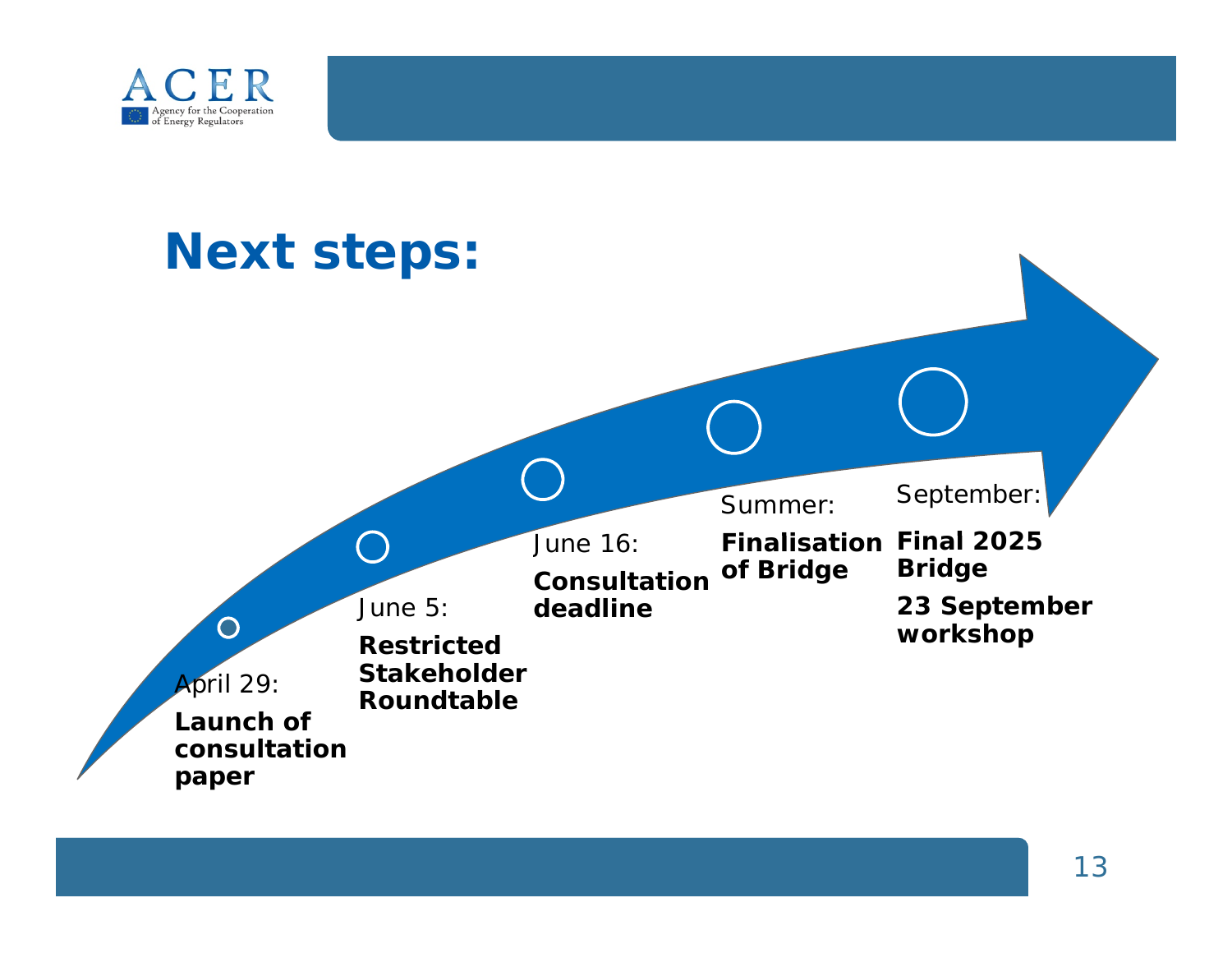



13